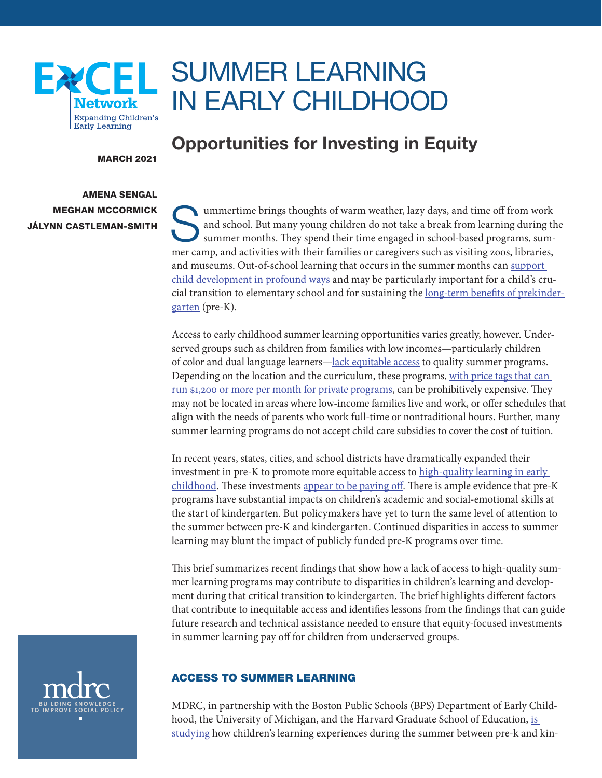

# SUMMER LEARNING IN EARLY CHILDHOOD

MARCH 2021

### AMENA SENGAL MEGHAN MCCORMICK JÁLYNN CASTLEMAN-SMITH

## Opportunities for Investing in Equity

ummertime brings thoughts of warm weather, lazy days, and time off from work and school. But many young children do not take a break from learning during the summer months. They spend their time engaged in school-based programs, summer camp, and activities with their families or caregivers such as visiting zoos, libraries, and museums. Out-of-school learning that occurs in the summer months can [support](https://www.wallacefoundation.org/knowledge-center/Documents/Making-Summer-Count-How-Summer-Programs-Can-Boost-Childrens-Learning.pdf)  [child development in profound ways](https://www.wallacefoundation.org/knowledge-center/Documents/Making-Summer-Count-How-Summer-Programs-Can-Boost-Childrens-Learning.pdf) and may be particularly important for a child's crucial transition to elementary school and for sustaining the [long-term benefits of prekinder](https://cpb-us-e2.wpmucdn.com/faculty.sites.uci.edu/dist/7/112/files/2011/03/Duncan-Schmitt-et-al-2018.pdf)[garten](https://cpb-us-e2.wpmucdn.com/faculty.sites.uci.edu/dist/7/112/files/2011/03/Duncan-Schmitt-et-al-2018.pdf) (pre-K).

Access to early childhood summer learning opportunities varies greatly, however. Underserved groups such as children from families with low incomes—particularly children of color and dual language learners[—lack equitable access](https://files.eric.ed.gov/fulltext/EJ1173455.pdf) to quality summer programs. Depending on the location and the curriculum, these programs, [with price tags that can](http://www.summerlearning.org/wp-content/uploads/2016/06/FundingResourceGuide2016.pdf)  [run \\$1,200 or more per month for private programs](http://www.summerlearning.org/wp-content/uploads/2016/06/FundingResourceGuide2016.pdf), can be prohibitively expensive. They may not be located in areas where low-income families live and work, or offer schedules that align with the needs of parents who work full-time or nontraditional hours. Further, many summer learning programs do not accept child care subsidies to cover the cost of tuition.

In recent years, states, cities, and school districts have dramatically expanded their investment in pre-K to promote more equitable access to [high-quality learning in early](https://nieer.org/wp-content/uploads/2020/11/YB2019_Full_Report.pdf)  [childhood](https://nieer.org/wp-content/uploads/2020/11/YB2019_Full_Report.pdf). These investments [appear to be paying off.](https://www.brookings.edu/research/puzzling-it-out-the-current-state-of-scientific-knowledge-on-pre-kindergarten-effects/) There is ample evidence that pre-K programs have substantial impacts on children's academic and social-emotional skills at the start of kindergarten. But policymakers have yet to turn the same level of attention to the summer between pre-K and kindergarten. Continued disparities in access to summer learning may blunt the impact of publicly funded pre-K programs over time.

This brief summarizes recent findings that show how a lack of access to high-quality summer learning programs may contribute to disparities in children's learning and development during that critical transition to kindergarten. The brief highlights different factors that contribute to inequitable access and identifies lessons from the findings that can guide future research and technical assistance needed to ensure that equity-focused investments in summer learning pay off for children from underserved groups.



#### ACCESS TO SUMMER LEARNING

MDRC, in partnership with the Boston Public Schools (BPS) Department of Early Childhood, the University of Michigan, and the Harvard Graduate School of Education, is [studying](https://www.mdrc.org/publication/individual-growth-modeling-application-and-implications-education-research) how children's learning experiences during the summer between pre-k and kin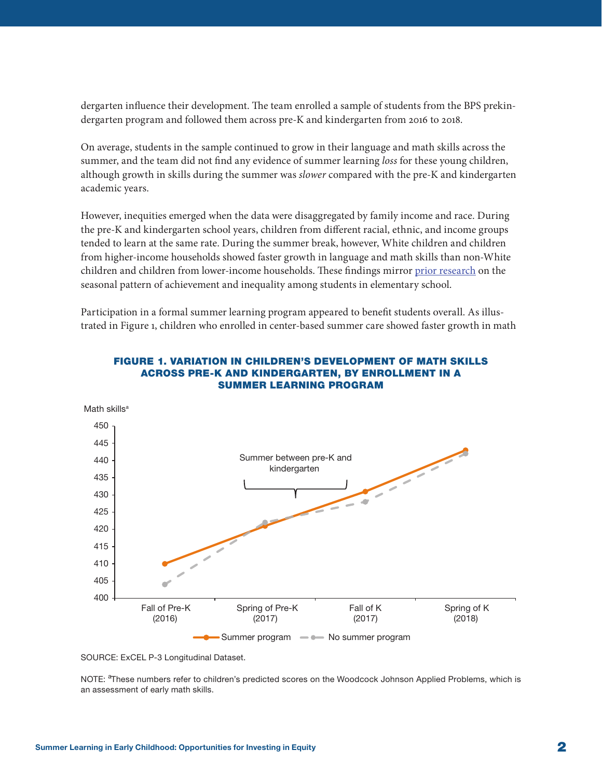dergarten influence their development. The team enrolled a sample of students from the BPS prekindergarten program and followed them across pre-K and kindergarten from 2016 to 2018.

On average, students in the sample continued to grow in their language and math skills across the summer, and the team did not find any evidence of summer learning *loss* for these young children, although growth in skills during the summer was *slower* compared with the pre-K and kindergarten academic years.

However, inequities emerged when the data were disaggregated by family income and race. During the pre-K and kindergarten school years, children from different racial, ethnic, and income groups tended to learn at the same rate. During the summer break, however, White children and children from higher-income households showed faster growth in language and math skills than non-White children and children from lower-income households. These findings mirror [prior research](https://scholar.harvard.edu/dmq/publications/seasonal-dynamics-academic-achievement-inequality-socioeconomic-status-and) on the seasonal pattern of achievement and inequality among students in elementary school.

Participation in a formal summer learning program appeared to benefit students overall. As illustrated in Figure 1, children who enrolled in center-based summer care showed faster growth in math



#### FIGURE 1. VARIATION IN CHILDREN'S DEVELOPMENT OF MATH SKILLS ACROSS PRE-K AND KINDERGARTEN, BY ENROLLMENT IN A SUMMER LEARNING PROGRAM

SOURCE: ExCEL P-3 Longitudinal Dataset.

NOTE: <sup>a</sup>These numbers refer to children's predicted scores on the Woodcock Johnson Applied Problems, which is an assessment of early math skills.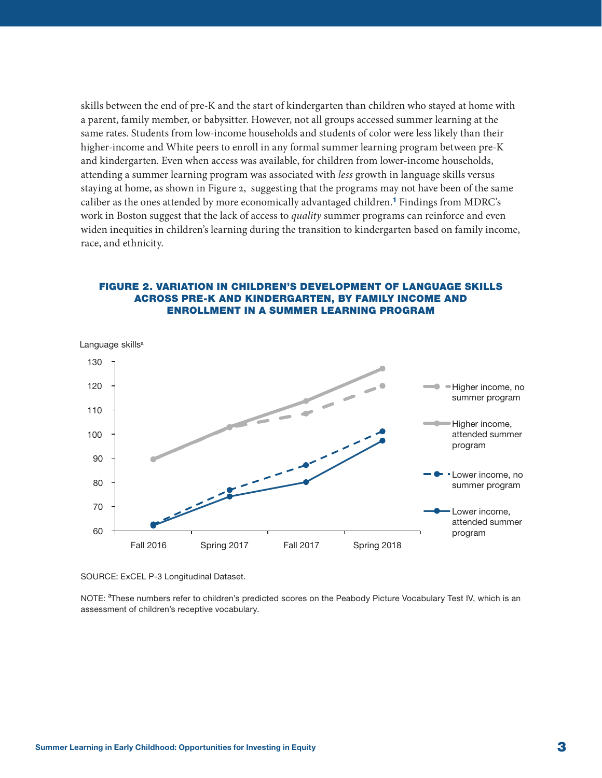<span id="page-2-0"></span>skills between the end of pre-K and the start of kindergarten than children who stayed at home with a parent, family member, or babysitter. However, not all groups accessed summer learning at the same rates. Students from low-income households and students of color were less likely than their higher-income and White peers to enroll in any formal summer learning program between pre-K and kindergarten. Even when access was available, for children from lower-income households, attending a summer learning program was associated with *less* growth in language skills versus staying at home, as shown in Figure 2, suggesting that the programs may not have been of the same caliber as the ones attended by more economically advantaged children.<sup>[1](#page-5-0)</sup> Findings from MDRC's work in Boston suggest that the lack of access to *quality* summer programs can reinforce and even widen inequities in children's learning during the transition to kindergarten based on family income, race, and ethnicity.

#### FIGURE 2. VARIATION IN CHILDREN'S DEVELOPMENT OF LANGUAGE SKILLS ACROSS PRE-K AND KINDERGARTEN, BY FAMILY INCOME AND ENROLLMENT IN A SUMMER LEARNING PROGRAM



SOURCE: ExCEL P-3 Longitudinal Dataset.

NOTE: <sup>a</sup>These numbers refer to children's predicted scores on the Peabody Picture Vocabulary Test IV, which is an assessment of children's receptive vocabulary.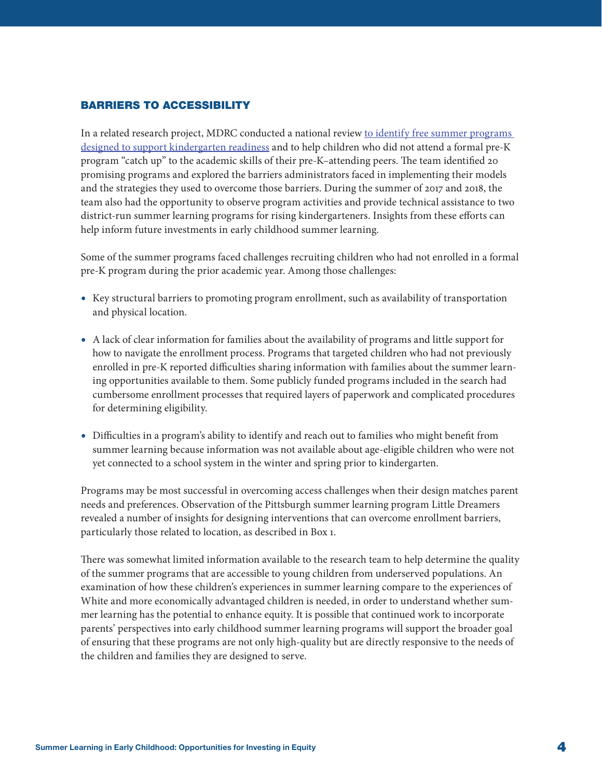#### BARRIERS TO ACCESSIBILITY

In a related research project, MDRC conducted a national review to identify free summer programs [designed to support kindergarten readiness](https://www.mdrc.org/sites/default/files/ExCEL_Summer_Boost_revised.pdf) and to help children who did not attend a formal pre-K program "catch up" to the academic skills of their pre-K–attending peers. The team identified 20 promising programs and explored the barriers administrators faced in implementing their models and the strategies they used to overcome those barriers. During the summer of 2017 and 2018, the team also had the opportunity to observe program activities and provide technical assistance to two district-run summer learning programs for rising kindergarteners. Insights from these efforts can help inform future investments in early childhood summer learning.

Some of the summer programs faced challenges recruiting children who had not enrolled in a formal pre-K program during the prior academic year. Among those challenges:

- Key structural barriers to promoting program enrollment, such as availability of transportation and physical location.
- A lack of clear information for families about the availability of programs and little support for how to navigate the enrollment process. Programs that targeted children who had not previously enrolled in pre-K reported difficulties sharing information with families about the summer learning opportunities available to them. Some publicly funded programs included in the search had cumbersome enrollment processes that required layers of paperwork and complicated procedures for determining eligibility.
- Difficulties in a program's ability to identify and reach out to families who might benefit from summer learning because information was not available about age-eligible children who were not yet connected to a school system in the winter and spring prior to kindergarten.

Programs may be most successful in overcoming access challenges when their design matches parent needs and preferences. Observation of the Pittsburgh summer learning program Little Dreamers revealed a number of insights for designing interventions that can overcome enrollment barriers, particularly those related to location, as described in Box 1.

There was somewhat limited information available to the research team to help determine the quality of the summer programs that are accessible to young children from underserved populations. An examination of how these children's experiences in summer learning compare to the experiences of White and more economically advantaged children is needed, in order to understand whether summer learning has the potential to enhance equity. It is possible that continued work to incorporate parents' perspectives into early childhood summer learning programs will support the broader goal of ensuring that these programs are not only high-quality but are directly responsive to the needs of the children and families they are designed to serve.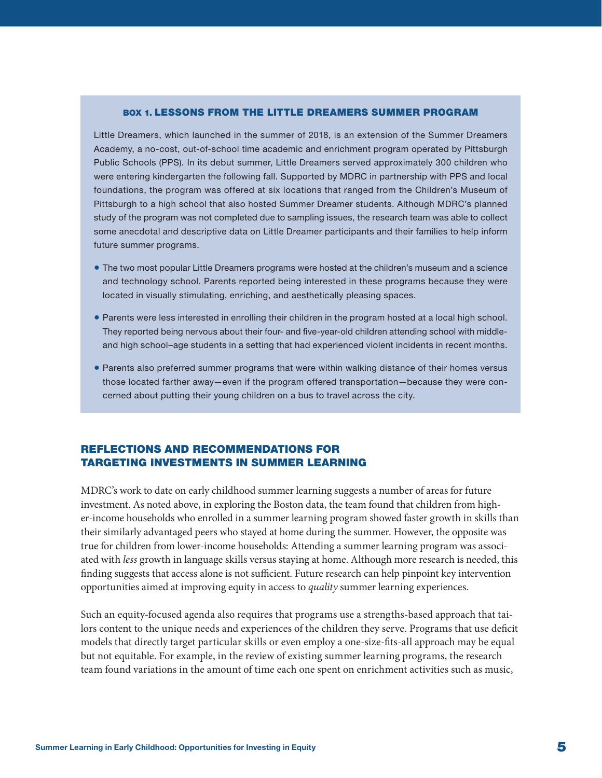#### BOX 1. LESSONS FROM THE LITTLE DREAMERS SUMMER PROGRAM

Little Dreamers, which launched in the summer of 2018, is an extension of the Summer Dreamers Academy, a no-cost, out-of-school time academic and enrichment program operated by Pittsburgh Public Schools (PPS). In its debut summer, Little Dreamers served approximately 300 children who were entering kindergarten the following fall. Supported by MDRC in partnership with PPS and local foundations, the program was offered at six locations that ranged from the Children's Museum of Pittsburgh to a high school that also hosted Summer Dreamer students. Although MDRC's planned study of the program was not completed due to sampling issues, the research team was able to collect some anecdotal and descriptive data on Little Dreamer participants and their families to help inform future summer programs.

- The two most popular Little Dreamers programs were hosted at the children's museum and a science and technology school. Parents reported being interested in these programs because they were located in visually stimulating, enriching, and aesthetically pleasing spaces.
- Parents were less interested in enrolling their children in the program hosted at a local high school. They reported being nervous about their four- and five-year-old children attending school with middleand high school–age students in a setting that had experienced violent incidents in recent months.
- Parents also preferred summer programs that were within walking distance of their homes versus those located farther away—even if the program offered transportation—because they were concerned about putting their young children on a bus to travel across the city.

#### REFLECTIONS AND RECOMMENDATIONS FOR TARGETING INVESTMENTS IN SUMMER LEARNING

MDRC's work to date on early childhood summer learning suggests a number of areas for future investment. As noted above, in exploring the Boston data, the team found that children from higher-income households who enrolled in a summer learning program showed faster growth in skills than their similarly advantaged peers who stayed at home during the summer. However, the opposite was true for children from lower-income households: Attending a summer learning program was associated with *less* growth in language skills versus staying at home. Although more research is needed, this finding suggests that access alone is not sufficient. Future research can help pinpoint key intervention opportunities aimed at improving equity in access to *quality* summer learning experiences.

Such an equity-focused agenda also requires that programs use a strengths-based approach that tailors content to the unique needs and experiences of the children they serve. Programs that use deficit models that directly target particular skills or even employ a one-size-fits-all approach may be equal but not equitable. For example, in the review of existing summer learning programs, the research team found variations in the amount of time each one spent on enrichment activities such as music,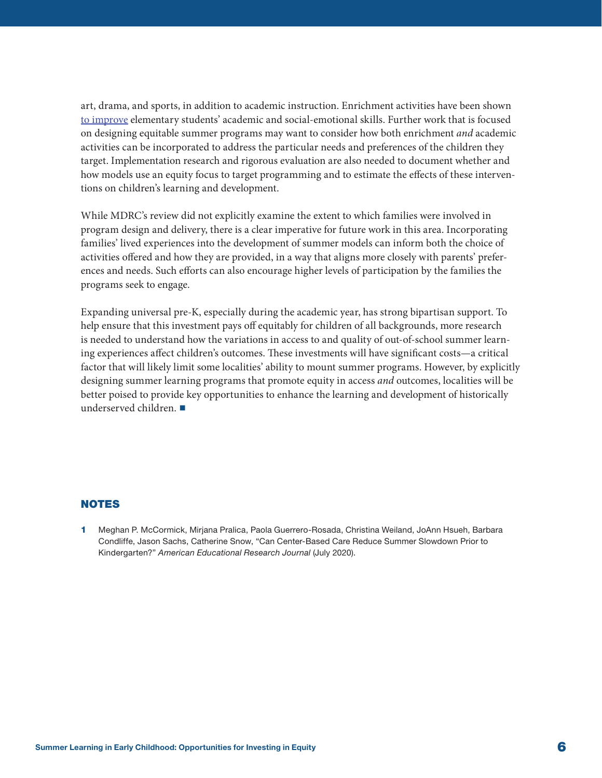<span id="page-5-0"></span>art, drama, and sports, in addition to academic instruction. Enrichment activities have been shown [to improve](https://kinder.rice.edu/sites/default/files/documents/Investigating%20Causal%20Effects%20of%20Arts%20Education%20Experiences%20Final_0.pdf) elementary students' academic and social-emotional skills. Further work that is focused on designing equitable summer programs may want to consider how both enrichment *and* academic activities can be incorporated to address the particular needs and preferences of the children they target. Implementation research and rigorous evaluation are also needed to document whether and how models use an equity focus to target programming and to estimate the effects of these interventions on children's learning and development.

While MDRC's review did not explicitly examine the extent to which families were involved in program design and delivery, there is a clear imperative for future work in this area. Incorporating families' lived experiences into the development of summer models can inform both the choice of activities offered and how they are provided, in a way that aligns more closely with parents' preferences and needs. Such efforts can also encourage higher levels of participation by the families the programs seek to engage.

Expanding universal pre-K, especially during the academic year, has strong bipartisan support. To help ensure that this investment pays off equitably for children of all backgrounds, more research is needed to understand how the variations in access to and quality of out-of-school summer learning experiences affect children's outcomes. These investments will have significant costs—a critical factor that will likely limit some localities' ability to mount summer programs. However, by explicitly designing summer learning programs that promote equity in access *and* outcomes, localities will be better poised to provide key opportunities to enhance the learning and development of historically underserved children. ■

#### NOTES

[1](#page-2-0) Meghan P. McCormick, Mirjana Pralica, Paola Guerrero-Rosada, Christina Weiland, JoAnn Hsueh, Barbara Condliffe, Jason Sachs, Catherine Snow, "Can Center-Based Care Reduce Summer Slowdown Prior to Kindergarten?" *American Educational Research Journal* (July 2020).